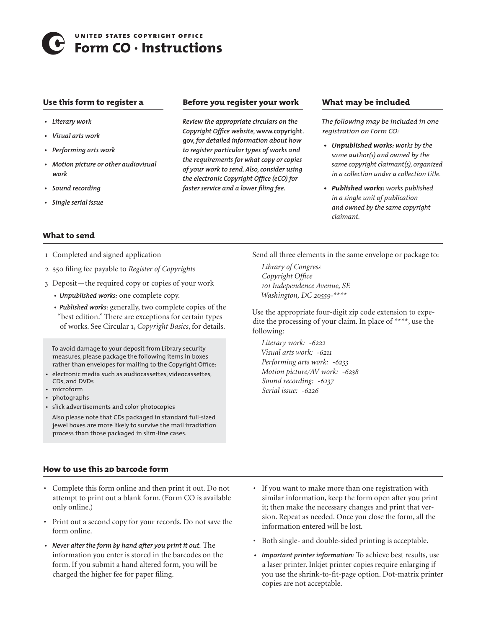# **united states copyright office** 5 **Form CO · Instructions**

## **Use this form to register a**

- *• Literary work*
- *• Visual arts work*
- *• Performing arts work*
- *• Motion picture or other audiovisual work*
- *• Sound recording*
- *• Single serial issue*

**What to send** 

# **Before you register your work**

*Review the appropriate circulars on the Copyright Office website,* **www.copyright. gov,** *for detailed information about how to register particular types of works and the requirements for what copy or copies of your work to send. Also, consider using the electronic Copyright Office (eCO) for faster service and a lower filing fee.*

# **What may be included**

*The following may be included in one registration on Form CO:*

- *• Unpublished works: works by the same author(s) and owned by the same copyright claimant(s), organized in a collection under a collection title.*
- *• Published works: works published in a single unit of publication and owned by the same copyright claimant.*

- 1 Completed and signed application
- 2 \$50 filing fee payable to *Register of Copyrights*
- 3 Deposit—the required copy or copies of your work
	- *• Unpublished works:* one complete copy.
	- *• Published works:* generally, two complete copies of the "best edition." There are exceptions for certain types of works. See Circular 1, *Copyright Basics*, for details.

To avoid damage to your deposit from Library security measures, please package the following items in boxes rather than envelopes for mailing to the Copyright Office:

- electronic media such as audiocassettes, videocassettes, CDs, and DVDs
- microform
- photographs
- slick advertisements and color photocopies
- Also please note that CDs packaged in standard full-sized jewel boxes are more likely to survive the mail irradiation process than those packaged in slim-line cases.

Send all three elements in the same envelope or package to:

*Library of Congress Copyright Office 101 Independence Avenue, SE Washington, DC 20559-\*\*\*\** 

Use the appropriate four-digit zip code extension to expedite the processing of your claim. In place of \*\*\*\*, use the following:

*Literary work: -6222 Visual arts work: -6211 Performing arts work: -6233 Motion picture/AV work: -6238 Sound recording: -6237 Serial issue: -6226*

# **How to use this 2d barcode form**

- • Complete this form online and then print it out. Do not attempt to print out a blank form. (Form CO is available only online.)
- Print out a second copy for your records. Do not save the form online.
- *• Never alter the form by hand after you print it out.* The information you enter is stored in the barcodes on the form. If you submit a hand altered form, you will be charged the higher fee for paper filing.
- • If you want to make more than one registration with similar information, keep the form open after you print it; then make the necessary changes and print that version. Repeat as needed. Once you close the form, all the information entered will be lost.
- • Both single- and double-sided printing is acceptable.
- *• Important printer information:* To achieve best results, use a laser printer. Inkjet printer copies require enlarging if you use the shrink-to-fit-page option. Dot-matrix printer copies are not acceptable.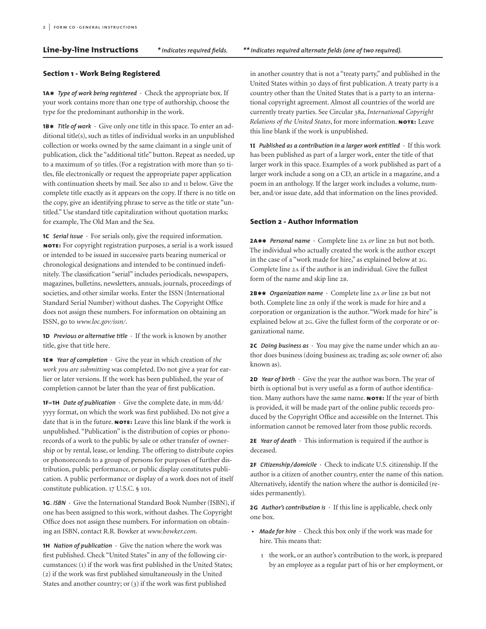**Line-by-line Instructions** *\*indicates required fields. \*\*indicates required alternate fields (one of two required).*

# **Section 1 - Work Being Registered**

**1a\*** *Type of work being registered* **·** Check the appropriate box. If your work contains more than one type of authorship, choose the type for the predominant authorship in the work.

**1b\*** *Title of work* **·** Give only one title in this space. To enter an additional title(s), such as titles of individual works in an unpublished collection or works owned by the same claimant in a single unit of publication, click the "additional title" button. Repeat as needed, up to a maximum of 50 titles. (For a registration with more than 50 titles, file electronically or request the appropriate paper application with continuation sheets by mail. See also 1D and 11 below. Give the complete title exactly as it appears on the copy. If there is no title on the copy, give an identifying phrase to serve as the title or state "untitled." Use standard title capitalization without quotation marks; for example, The Old Man and the Sea.

**1c** *Serial issue ·* For serials only, give the required information. **note:** For copyright registration purposes, a serial is a work issued or intended to be issued in successive parts bearing numerical or chronological designations and intended to be continued indefinitely. The classification "serial" includes periodicals, newspapers, magazines, bulletins, newsletters, annuals, journals, proceedings of societies, and other similar works. Enter the ISSN (International Standard Serial Number) without dashes. The Copyright Office does not assign these numbers. For information on obtaining an ISSN, go to *www.loc.gov/issn/*.

**1d** *Previous or alternative title* **·** If the work is known by another title, give that title here.

**1e\*** *Year of completion* **·** Give the year in which creation of *the work you are submitting* was completed. Do not give a year for earlier or later versions. If the work has been published, the year of completion cannot be later than the year of first publication.

**1f–1h** *Date of publication ·* Give the complete date, in mm/dd/ yyyy format, on which the work was first published. Do not give a date that is in the future. **NOTE:** Leave this line blank if the work is unpublished. "Publication" is the distribution of copies or phonorecords of a work to the public by sale or other transfer of ownership or by rental, lease, or lending. The offering to distribute copies or phonorecords to a group of persons for purposes of further distribution, public performance, or public display constitutes publication. A public performance or display of a work does not of itself constitute publication. 17 U.S.C. § 101.

**1g**. *ISBN* **·** Give the International Standard Book Number (ISBN), if one has been assigned to this work, without dashes. The Copyright Office does not assign these numbers. For information on obtaining an ISBN, contact R.R. Bowker at *www.bowker.com*.

**1h** *Nation of publication ·* Give the nation where the work was first published. Check "United States" in any of the following circumstances: (1) if the work was first published in the United States; (2) if the work was first published simultaneously in the United States and another country; or (3) if the work was first published

in another country that is not a "treaty party," and published in the United States within 30 days of first publication. A treaty party is a country other than the United States that is a party to an international copyright agreement. Almost all countries of the world are currently treaty parties. See Circular 38a, *International Copyright Relations of the United States*, for more information. **note:** Leave this line blank if the work is unpublished.

**1i** *Published as a contribution in a larger work entitled* **·** If this work has been published as part of a larger work, enter the title of that larger work in this space. Examples of a work published as part of a larger work include a song on a CD, an article in a magazine, and a poem in an anthology. If the larger work includes a volume, number, and/or issue date, add that information on the lines provided.

#### **Section 2 - Author Information**

2A\*\* *Personal name* · Complete line 2A *or* line 2B but not both. The individual who actually created the work is the author except in the case of a "work made for hire," as explained below at 2g. Complete line 2a if the author is an individual. Give the fullest form of the name and skip line 2b.

**2b\*\*** *Organization name* **·** Complete line <sup>2</sup><sup>a</sup> *or* line <sup>2</sup><sup>b</sup> but not both. Complete line 2B only if the work is made for hire and a corporation or organization is the author. "Work made for hire" is explained below at 2g. Give the fullest form of the corporate or organizational name.

**2C** *Doing business as*  $\cdot$  You may give the name under which an author does business (doing business as; trading as; sole owner of; also known as).

**2d** *Year of birth ·* Give the year the author was born. The year of birth is optional but is very useful as a form of author identification. Many authors have the same name. **NOTE:** If the year of birth is provided, it will be made part of the online public records produced by the Copyright Office and accessible on the Internet. This information cannot be removed later from those public records.

**2e** *Year of death* **·** This information is required if the author is deceased.

**2f** *Citizenship***⁄***domicile* **·** Check to indicate U.S. citizenship. If the author is a citizen of another country, enter the name of this nation. Alternatively, identify the nation where the author is domiciled (resides permanently).

**2g** *Author's contribution is* **·** If this line is applicable, check only one box.

- **•** *Made for hire* **·** Check this box only if the work was made for hire. This means that:
	- 1 the work, or an author's contribution to the work, is prepared by an employee as a regular part of his or her employment, or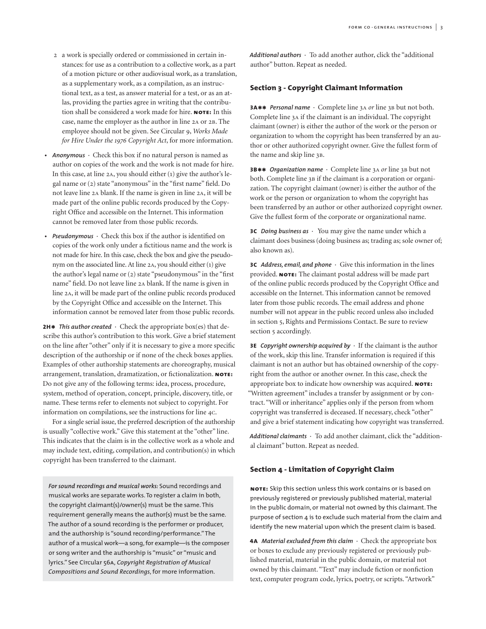- 2 a work is specially ordered or commissioned in certain instances: for use as a contribution to a collective work, as a part of a motion picture or other audiovisual work, as a translation, as a supplementary work, as a compilation, as an instructional text, as a test, as answer material for a test, or as an atlas, providing the parties agree in writing that the contribution shall be considered a work made for hire. **note:** In this case, name the employer as the author in line 2a or 2b. The employee should not be given. See Circular 9, *Works Made for Hire Under the 1976 Copyright Act*, for more information.
- **•** *Anonymous* **·** Check this box if no natural person is named as author on copies of the work and the work is not made for hire. In this case, at line 2a, you should either (1) give the author's legal name or (2) state "anonymous" in the "first name" field. Do not leave line 2a blank. If the name is given in line 2a, it will be made part of the online public records produced by the Copyright Office and accessible on the Internet. This information cannot be removed later from those public records.
- **•** *Pseudonymous* **·** Check this box if the author is identified on copies of the work only under a fictitious name and the work is not made for hire. In this case, check the box and give the pseudonym on the associated line. At line  $2A$ , you should either $(1)$  give the author's legal name or (2) state "pseudonymous" in the "first name" field. Do not leave line 2a blank. If the name is given in line 2a, it will be made part of the online public records produced by the Copyright Office and accessible on the Internet. This information cannot be removed later from those public records.

**2H\*** *This author created*  $\cdot$  Check the appropriate box(es) that describe this author's contribution to this work. Give a brief statement on the line after "other" only if it is necessary to give a more specific description of the authorship or if none of the check boxes applies. Examples of other authorship statements are choreography, musical arrangement, translation, dramatization, or fictionalization. **note:** Do not give any of the following terms: idea, process, procedure, system, method of operation, concept, principle, discovery, title, or name. These terms refer to elements not subject to copyright. For information on compilations, see the instructions for line 4c.

For a single serial issue, the preferred description of the authorship is usually "collective work." Give this statement at the "other" line. This indicates that the claim is in the collective work as a whole and may include text, editing, compilation, and contribution(s) in which copyright has been transferred to the claimant.

*For sound recordings and musical works:* Sound recordings and musical works are separate works. To register a claim in both, the copyright claimant(s)/owner(s) must be the same. This requirement generally means the author(s) must be the same. The author of a sound recording is the performer or producer, and the authorship is "sound recording/performance." The author of a musical work—a song, for example—is the composer or song writer and the authorship is "music" or "music and lyrics." See Circular 56a, *Copyright Registration of Musical Compositions and Sound Recordings*, for more information.

*Additional authors* **·** To add another author, click the "additional author" button. Repeat as needed.

### **Section 3 - Copyright Claimant Information**

**3A\*\*** *Personal name* · Complete line 3A *or* line 3B but not both. Complete line 3a if the claimant is an individual. The copyright claimant (owner) is either the author of the work or the person or organization to whom the copyright has been transferred by an author or other authorized copyright owner. Give the fullest form of the name and skip line 3b.

**3b\*\*** *Organization name* **·** Complete line <sup>3</sup><sup>a</sup> *or* line <sup>3</sup><sup>b</sup> but not both. Complete line 3B if the claimant is a corporation or organization. The copyright claimant (owner) is either the author of the work or the person or organization to whom the copyright has been transferred by an author or other authorized copyright owner. Give the fullest form of the corporate or organizational name.

**3c** *Doing business as* **·** You may give the name under which a claimant does business (doing business as; trading as; sole owner of; also known as).

**3c** *Address, email, and phone ·* Give this information in the lines provided. **NOTE:** The claimant postal address will be made part of the online public records produced by the Copyright Office and accessible on the Internet. This information cannot be removed later from those public records. The email address and phone number will not appear in the public record unless also included in section 5, Rights and Permissions Contact. Be sure to review section 5 accordingly.

**3e** *Copyright ownership acquired by ·* If the claimant is the author of the work, skip this line. Transfer information is required if this claimant is not an author but has obtained ownership of the copyright from the author or another owner. In this case, check the appropriate box to indicate how ownership was acquired. **note:** "Written agreement" includes a transfer by assignment or by contract. "Will or inheritance" applies only if the person from whom copyright was transferred is deceased. If necessary, check "other" and give a brief statement indicating how copyright was transferred.

*Additional claimants* **·** To add another claimant, click the "additional claimant" button. Repeat as needed.

#### **Section 4 - Limitation of Copyright Claim**

**note:** Skip this section unless this work contains or is based on previously registered or previously published material, material in the public domain, or material not owned by this claimant. The purpose of section 4 is to exclude such material from the claim and identify the new material upon which the present claim is based.

**4a** *Material excluded from this claim ·* Check the appropriate box or boxes to exclude any previously registered or previously published material, material in the public domain, or material not owned by this claimant. "Text" may include fiction or nonfiction text, computer program code, lyrics, poetry, or scripts. "Artwork"